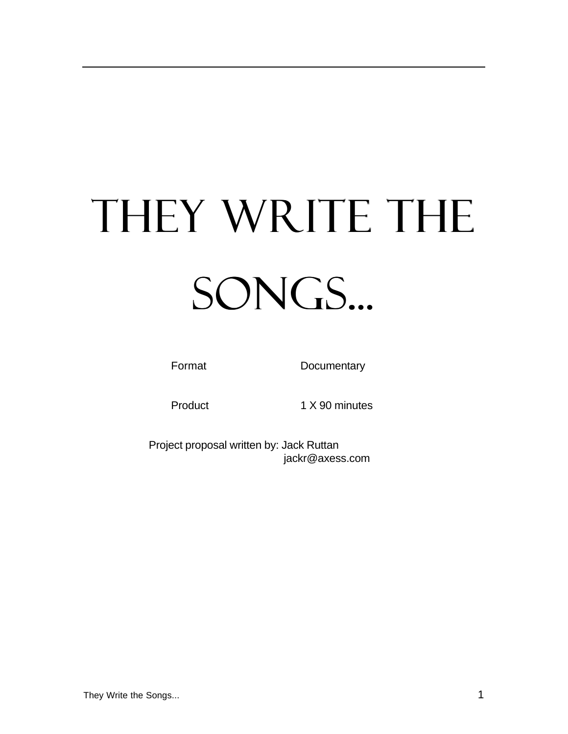# THEY WRITE THE SONGS...

Format Documentary

Product 1 X 90 minutes

Project proposal written by: Jack Ruttan jackr@axess.com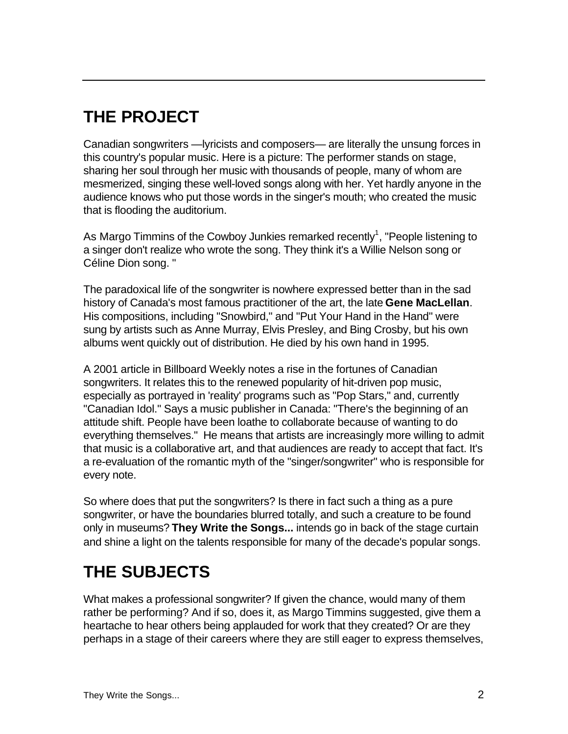# **THE PROJECT**

Canadian songwriters —lyricists and composers— are literally the unsung forces in this country's popular music. Here is a picture: The performer stands on stage, sharing her soul through her music with thousands of people, many of whom are mesmerized, singing these well-loved songs along with her. Yet hardly anyone in the audience knows who put those words in the singer's mouth; who created the music that is flooding the auditorium.

As Margo Timmins of the Cowboy Junkies remarked recently<sup>1</sup>, "People listening to a singer don't realize who wrote the song. They think it's a Willie Nelson song or Céline Dion song. "

The paradoxical life of the songwriter is nowhere expressed better than in the sad history of Canada's most famous practitioner of the art, the late **Gene MacLellan**. His compositions, including "Snowbird," and "Put Your Hand in the Hand" were sung by artists such as Anne Murray, Elvis Presley, and Bing Crosby, but his own albums went quickly out of distribution. He died by his own hand in 1995.

A 2001 article in Billboard Weekly notes a rise in the fortunes of Canadian songwriters. It relates this to the renewed popularity of hit-driven pop music, especially as portrayed in 'reality' programs such as "Pop Stars," and, currently "Canadian Idol." Says a music publisher in Canada: "There's the beginning of an attitude shift. People have been loathe to collaborate because of wanting to do everything themselves." He means that artists are increasingly more willing to admit that music is a collaborative art, and that audiences are ready to accept that fact. It's a re-evaluation of the romantic myth of the "singer/songwriter" who is responsible for every note.

So where does that put the songwriters? Is there in fact such a thing as a pure songwriter, or have the boundaries blurred totally, and such a creature to be found only in museums? **They Write the Songs...** intends go in back of the stage curtain and shine a light on the talents responsible for many of the decade's popular songs.

## **THE SUBJECTS**

What makes a professional songwriter? If given the chance, would many of them rather be performing? And if so, does it, as Margo Timmins suggested, give them a heartache to hear others being applauded for work that they created? Or are they perhaps in a stage of their careers where they are still eager to express themselves,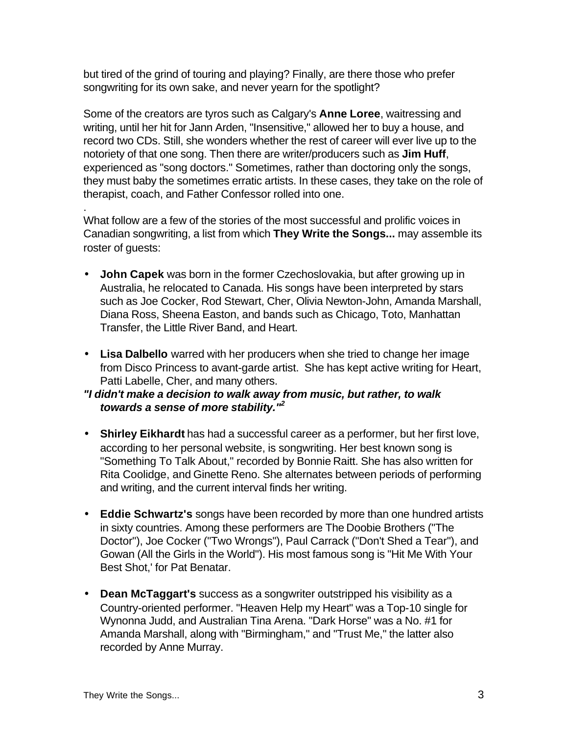but tired of the grind of touring and playing? Finally, are there those who prefer songwriting for its own sake, and never yearn for the spotlight?

Some of the creators are tyros such as Calgary's **Anne Loree**, waitressing and writing, until her hit for Jann Arden, "Insensitive," allowed her to buy a house, and record two CDs. Still, she wonders whether the rest of career will ever live up to the notoriety of that one song. Then there are writer/producers such as **Jim Huff**, experienced as "song doctors." Sometimes, rather than doctoring only the songs, they must baby the sometimes erratic artists. In these cases, they take on the role of therapist, coach, and Father Confessor rolled into one.

What follow are a few of the stories of the most successful and prolific voices in Canadian songwriting, a list from which **They Write the Songs...** may assemble its roster of guests:

- **John Capek** was born in the former Czechoslovakia, but after growing up in Australia, he relocated to Canada. His songs have been interpreted by stars such as Joe Cocker, Rod Stewart, Cher, Olivia Newton-John, Amanda Marshall, Diana Ross, Sheena Easton, and bands such as Chicago, Toto, Manhattan Transfer, the Little River Band, and Heart.
- **Lisa Dalbello** warred with her producers when she tried to change her image from Disco Princess to avant-garde artist. She has kept active writing for Heart, Patti Labelle, Cher, and many others.

#### *"I didn't make a decision to walk away from music, but rather, to walk towards a sense of more stability."<sup>2</sup>*

- **Shirley Eikhardt** has had a successful career as a performer, but her first love, according to her personal website, is songwriting. Her best known song is "Something To Talk About," recorded by Bonnie Raitt. She has also written for Rita Coolidge, and Ginette Reno. She alternates between periods of performing and writing, and the current interval finds her writing.
- **Eddie Schwartz's** songs have been recorded by more than one hundred artists in sixty countries. Among these performers are The Doobie Brothers ("The Doctor"), Joe Cocker ("Two Wrongs"), Paul Carrack ("Don't Shed a Tear"), and Gowan (All the Girls in the World"). His most famous song is "Hit Me With Your Best Shot,' for Pat Benatar.
- **Dean McTaggart's** success as a songwriter outstripped his visibility as a Country-oriented performer. "Heaven Help my Heart" was a Top-10 single for Wynonna Judd, and Australian Tina Arena. "Dark Horse" was a No. #1 for Amanda Marshall, along with "Birmingham," and "Trust Me," the latter also recorded by Anne Murray.

.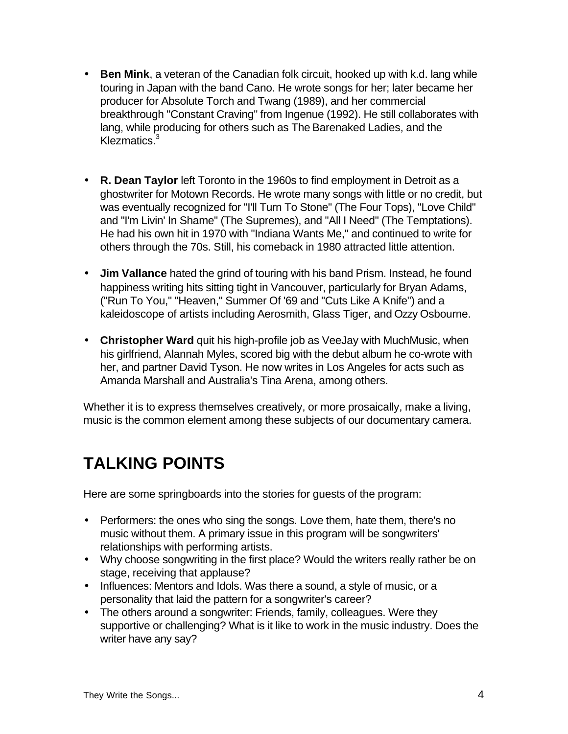- **Ben Mink**, a veteran of the Canadian folk circuit, hooked up with k.d. lang while touring in Japan with the band Cano. He wrote songs for her; later became her producer for Absolute Torch and Twang (1989), and her commercial breakthrough "Constant Craving" from Ingenue (1992). He still collaborates with lang, while producing for others such as The Barenaked Ladies, and the Klezmatics. $3$
- **R. Dean Taylor** left Toronto in the 1960s to find employment in Detroit as a ghostwriter for Motown Records. He wrote many songs with little or no credit, but was eventually recognized for "I'll Turn To Stone" (The Four Tops), "Love Child" and "I'm Livin' In Shame" (The Supremes), and "All I Need" (The Temptations). He had his own hit in 1970 with "Indiana Wants Me," and continued to write for others through the 70s. Still, his comeback in 1980 attracted little attention.
- **Jim Vallance** hated the grind of touring with his band Prism. Instead, he found happiness writing hits sitting tight in Vancouver, particularly for Bryan Adams, ("Run To You," "Heaven," Summer Of '69 and "Cuts Like A Knife") and a kaleidoscope of artists including Aerosmith, Glass Tiger, and Ozzy Osbourne.
- **Christopher Ward** quit his high-profile job as VeeJay with MuchMusic, when his girlfriend, Alannah Myles, scored big with the debut album he co-wrote with her, and partner David Tyson. He now writes in Los Angeles for acts such as Amanda Marshall and Australia's Tina Arena, among others.

Whether it is to express themselves creatively, or more prosaically, make a living, music is the common element among these subjects of our documentary camera.

## **TALKING POINTS**

Here are some springboards into the stories for guests of the program:

- Performers: the ones who sing the songs. Love them, hate them, there's no music without them. A primary issue in this program will be songwriters' relationships with performing artists.
- Why choose songwriting in the first place? Would the writers really rather be on stage, receiving that applause?
- Influences: Mentors and Idols. Was there a sound, a style of music, or a personality that laid the pattern for a songwriter's career?
- The others around a songwriter: Friends, family, colleagues. Were they supportive or challenging? What is it like to work in the music industry. Does the writer have any say?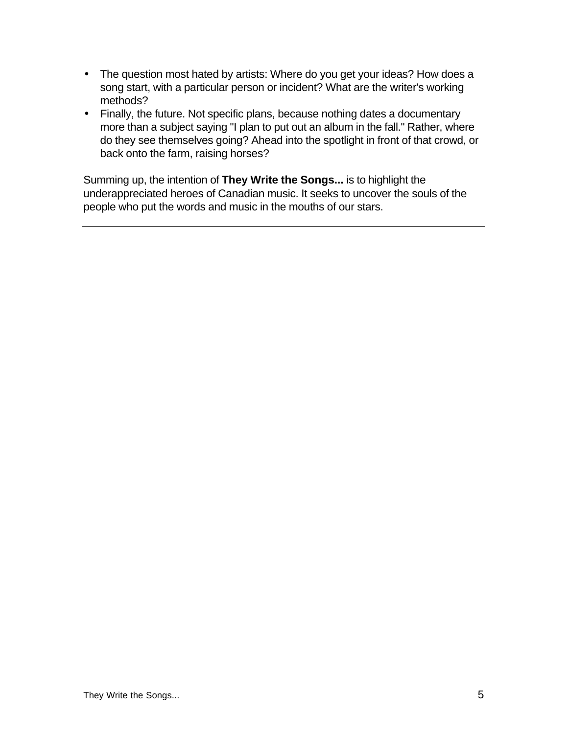- The question most hated by artists: Where do you get your ideas? How does a song start, with a particular person or incident? What are the writer's working methods?
- Finally, the future. Not specific plans, because nothing dates a documentary more than a subject saying "I plan to put out an album in the fall." Rather, where do they see themselves going? Ahead into the spotlight in front of that crowd, or back onto the farm, raising horses?

Summing up, the intention of **They Write the Songs...** is to highlight the underappreciated heroes of Canadian music. It seeks to uncover the souls of the people who put the words and music in the mouths of our stars.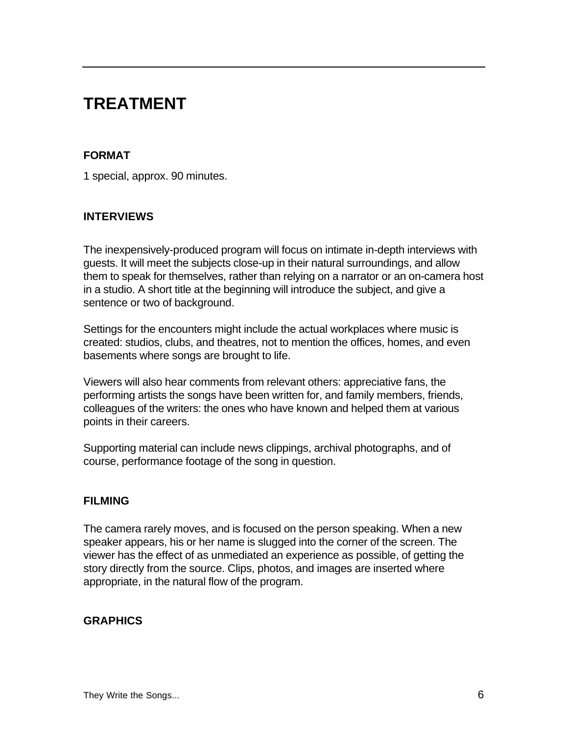## **TREATMENT**

#### **FORMAT**

1 special, approx. 90 minutes.

#### **INTERVIEWS**

The inexpensively-produced program will focus on intimate in-depth interviews with guests. It will meet the subjects close-up in their natural surroundings, and allow them to speak for themselves, rather than relying on a narrator or an on-camera host in a studio. A short title at the beginning will introduce the subject, and give a sentence or two of background.

Settings for the encounters might include the actual workplaces where music is created: studios, clubs, and theatres, not to mention the offices, homes, and even basements where songs are brought to life.

Viewers will also hear comments from relevant others: appreciative fans, the performing artists the songs have been written for, and family members, friends, colleagues of the writers: the ones who have known and helped them at various points in their careers.

Supporting material can include news clippings, archival photographs, and of course, performance footage of the song in question.

#### **FILMING**

The camera rarely moves, and is focused on the person speaking. When a new speaker appears, his or her name is slugged into the corner of the screen. The viewer has the effect of as unmediated an experience as possible, of getting the story directly from the source. Clips, photos, and images are inserted where appropriate, in the natural flow of the program.

#### **GRAPHICS**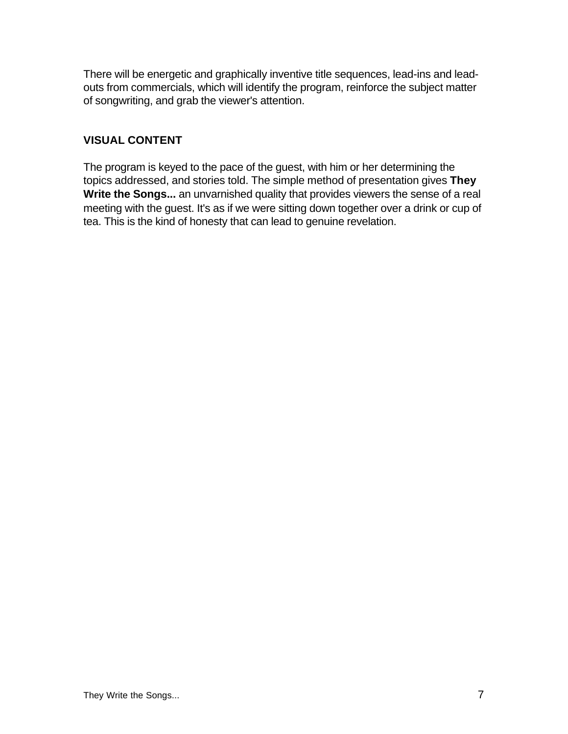There will be energetic and graphically inventive title sequences, lead-ins and leadouts from commercials, which will identify the program, reinforce the subject matter of songwriting, and grab the viewer's attention.

### **VISUAL CONTENT**

The program is keyed to the pace of the guest, with him or her determining the topics addressed, and stories told. The simple method of presentation gives **They Write the Songs...** an unvarnished quality that provides viewers the sense of a real meeting with the guest. It's as if we were sitting down together over a drink or cup of tea. This is the kind of honesty that can lead to genuine revelation.